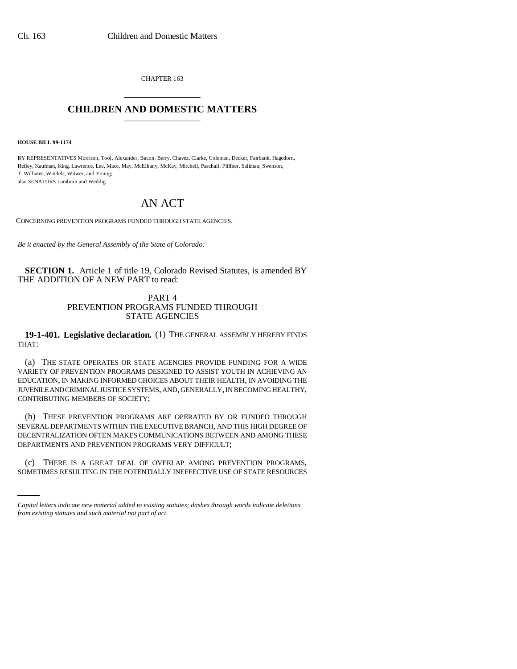CHAPTER 163 \_\_\_\_\_\_\_\_\_\_\_\_\_\_\_

## **CHILDREN AND DOMESTIC MATTERS** \_\_\_\_\_\_\_\_\_\_\_\_\_\_\_

**HOUSE BILL 99-1174**

BY REPRESENTATIVES Morrison, Tool, Alexander, Bacon, Berry, Chavez, Clarke, Coleman, Decker, Fairbank, Hagedorn, Hefley, Kaufman, King, Lawrence, Lee, Mace, May, McElhany, McKay, Mitchell, Paschall, Pfiffner, Saliman, Swenson, T. Williams, Windels, Witwer, and Young; also SENATORS Lamborn and Weddig.

## AN ACT

CONCERNING PREVENTION PROGRAMS FUNDED THROUGH STATE AGENCIES.

*Be it enacted by the General Assembly of the State of Colorado:*

**SECTION 1.** Article 1 of title 19, Colorado Revised Statutes, is amended BY THE ADDITION OF A NEW PART to read:

## PART 4 PREVENTION PROGRAMS FUNDED THROUGH STATE AGENCIES

**19-1-401. Legislative declaration.** (1) THE GENERAL ASSEMBLY HEREBY FINDS THAT:

(a) THE STATE OPERATES OR STATE AGENCIES PROVIDE FUNDING FOR A WIDE VARIETY OF PREVENTION PROGRAMS DESIGNED TO ASSIST YOUTH IN ACHIEVING AN EDUCATION, IN MAKING INFORMED CHOICES ABOUT THEIR HEALTH, IN AVOIDING THE JUVENILE AND CRIMINAL JUSTICE SYSTEMS, AND, GENERALLY, IN BECOMING HEALTHY, CONTRIBUTING MEMBERS OF SOCIETY;

(b) THESE PREVENTION PROGRAMS ARE OPERATED BY OR FUNDED THROUGH SEVERAL DEPARTMENTS WITHIN THE EXECUTIVE BRANCH, AND THIS HIGH DEGREE OF DECENTRALIZATION OFTEN MAKES COMMUNICATIONS BETWEEN AND AMONG THESE DEPARTMENTS AND PREVENTION PROGRAMS VERY DIFFICULT;

(c) THERE IS A GREAT DEAL OF OVERLAP AMONG PREVENTION PROGRAMS, SOMETIMES RESULTING IN THE POTENTIALLY INEFFECTIVE USE OF STATE RESOURCES

*Capital letters indicate new material added to existing statutes; dashes through words indicate deletions from existing statutes and such material not part of act.*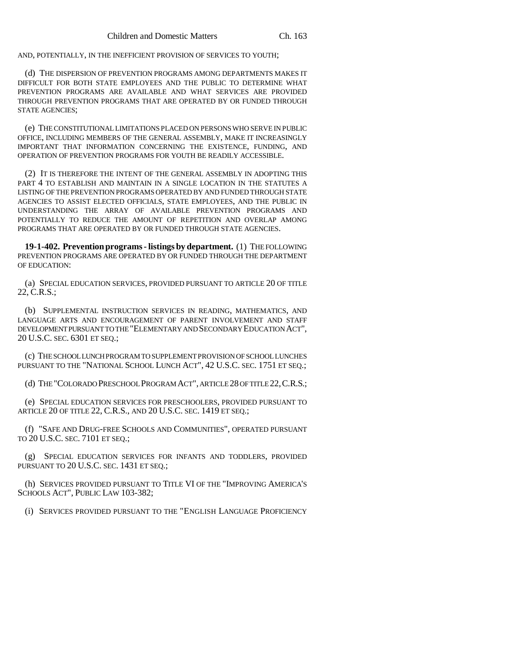AND, POTENTIALLY, IN THE INEFFICIENT PROVISION OF SERVICES TO YOUTH;

(d) THE DISPERSION OF PREVENTION PROGRAMS AMONG DEPARTMENTS MAKES IT DIFFICULT FOR BOTH STATE EMPLOYEES AND THE PUBLIC TO DETERMINE WHAT PREVENTION PROGRAMS ARE AVAILABLE AND WHAT SERVICES ARE PROVIDED THROUGH PREVENTION PROGRAMS THAT ARE OPERATED BY OR FUNDED THROUGH STATE AGENCIES;

(e) THE CONSTITUTIONAL LIMITATIONS PLACED ON PERSONS WHO SERVE IN PUBLIC OFFICE, INCLUDING MEMBERS OF THE GENERAL ASSEMBLY, MAKE IT INCREASINGLY IMPORTANT THAT INFORMATION CONCERNING THE EXISTENCE, FUNDING, AND OPERATION OF PREVENTION PROGRAMS FOR YOUTH BE READILY ACCESSIBLE.

(2) IT IS THEREFORE THE INTENT OF THE GENERAL ASSEMBLY IN ADOPTING THIS PART 4 TO ESTABLISH AND MAINTAIN IN A SINGLE LOCATION IN THE STATUTES A LISTING OF THE PREVENTION PROGRAMS OPERATED BY AND FUNDED THROUGH STATE AGENCIES TO ASSIST ELECTED OFFICIALS, STATE EMPLOYEES, AND THE PUBLIC IN UNDERSTANDING THE ARRAY OF AVAILABLE PREVENTION PROGRAMS AND POTENTIALLY TO REDUCE THE AMOUNT OF REPETITION AND OVERLAP AMONG PROGRAMS THAT ARE OPERATED BY OR FUNDED THROUGH STATE AGENCIES.

**19-1-402. Prevention programs - listings by department.** (1) THE FOLLOWING PREVENTION PROGRAMS ARE OPERATED BY OR FUNDED THROUGH THE DEPARTMENT OF EDUCATION:

(a) SPECIAL EDUCATION SERVICES, PROVIDED PURSUANT TO ARTICLE 20 OF TITLE 22, C.R.S.;

(b) SUPPLEMENTAL INSTRUCTION SERVICES IN READING, MATHEMATICS, AND LANGUAGE ARTS AND ENCOURAGEMENT OF PARENT INVOLVEMENT AND STAFF DEVELOPMENT PURSUANT TO THE "ELEMENTARY AND SECONDARY EDUCATION ACT", 20 U.S.C. SEC. 6301 ET SEQ.;

(c) THE SCHOOL LUNCH PROGRAM TO SUPPLEMENT PROVISION OF SCHOOL LUNCHES PURSUANT TO THE "NATIONAL SCHOOL LUNCH ACT", 42 U.S.C. SEC. 1751 ET SEQ.;

(d) THE "COLORADO PRESCHOOL PROGRAM ACT", ARTICLE 28 OF TITLE 22,C.R.S.;

(e) SPECIAL EDUCATION SERVICES FOR PRESCHOOLERS, PROVIDED PURSUANT TO ARTICLE 20 OF TITLE 22, C.R.S., AND 20 U.S.C. SEC. 1419 ET SEQ.;

(f) "SAFE AND DRUG-FREE SCHOOLS AND COMMUNITIES", OPERATED PURSUANT TO 20 U.S.C. SEC. 7101 ET SEQ.;

(g) SPECIAL EDUCATION SERVICES FOR INFANTS AND TODDLERS, PROVIDED PURSUANT TO 20 U.S.C. SEC. 1431 ET SEO.;

(h) SERVICES PROVIDED PURSUANT TO TITLE VI OF THE "IMPROVING AMERICA'S SCHOOLS ACT", PUBLIC LAW 103-382;

(i) SERVICES PROVIDED PURSUANT TO THE "ENGLISH LANGUAGE PROFICIENCY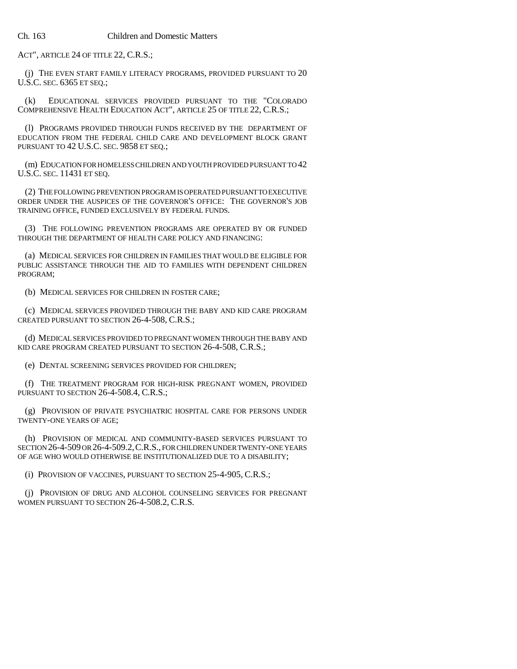ACT", ARTICLE 24 OF TITLE 22, C.R.S.;

(j) THE EVEN START FAMILY LITERACY PROGRAMS, PROVIDED PURSUANT TO 20 U.S.C. SEC. 6365 ET SEQ.;

(k) EDUCATIONAL SERVICES PROVIDED PURSUANT TO THE "COLORADO COMPREHENSIVE HEALTH EDUCATION ACT", ARTICLE 25 OF TITLE 22, C.R.S.;

(l) PROGRAMS PROVIDED THROUGH FUNDS RECEIVED BY THE DEPARTMENT OF EDUCATION FROM THE FEDERAL CHILD CARE AND DEVELOPMENT BLOCK GRANT PURSUANT TO 42 U.S.C. SEC. 9858 ET SEQ.;

(m) EDUCATION FOR HOMELESS CHILDREN AND YOUTH PROVIDED PURSUANT TO 42 U.S.C. SEC. 11431 ET SEQ.

(2) THE FOLLOWING PREVENTION PROGRAM IS OPERATED PURSUANT TO EXECUTIVE ORDER UNDER THE AUSPICES OF THE GOVERNOR'S OFFICE: THE GOVERNOR'S JOB TRAINING OFFICE, FUNDED EXCLUSIVELY BY FEDERAL FUNDS.

(3) THE FOLLOWING PREVENTION PROGRAMS ARE OPERATED BY OR FUNDED THROUGH THE DEPARTMENT OF HEALTH CARE POLICY AND FINANCING:

(a) MEDICAL SERVICES FOR CHILDREN IN FAMILIES THAT WOULD BE ELIGIBLE FOR PUBLIC ASSISTANCE THROUGH THE AID TO FAMILIES WITH DEPENDENT CHILDREN PROGRAM;

(b) MEDICAL SERVICES FOR CHILDREN IN FOSTER CARE;

(c) MEDICAL SERVICES PROVIDED THROUGH THE BABY AND KID CARE PROGRAM CREATED PURSUANT TO SECTION 26-4-508, C.R.S.;

(d) MEDICAL SERVICES PROVIDED TO PREGNANT WOMEN THROUGH THE BABY AND KID CARE PROGRAM CREATED PURSUANT TO SECTION 26-4-508, C.R.S.;

(e) DENTAL SCREENING SERVICES PROVIDED FOR CHILDREN;

(f) THE TREATMENT PROGRAM FOR HIGH-RISK PREGNANT WOMEN, PROVIDED PURSUANT TO SECTION 26-4-508.4, C.R.S.;

(g) PROVISION OF PRIVATE PSYCHIATRIC HOSPITAL CARE FOR PERSONS UNDER TWENTY-ONE YEARS OF AGE;

(h) PROVISION OF MEDICAL AND COMMUNITY-BASED SERVICES PURSUANT TO SECTION 26-4-509 OR 26-4-509.2,C.R.S., FOR CHILDREN UNDER TWENTY-ONE YEARS OF AGE WHO WOULD OTHERWISE BE INSTITUTIONALIZED DUE TO A DISABILITY;

(i) PROVISION OF VACCINES, PURSUANT TO SECTION 25-4-905, C.R.S.;

(j) PROVISION OF DRUG AND ALCOHOL COUNSELING SERVICES FOR PREGNANT WOMEN PURSUANT TO SECTION 26-4-508.2, C.R.S.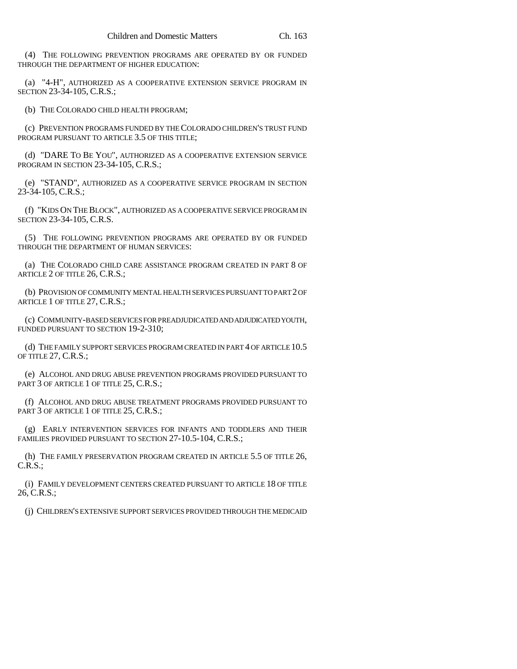(4) THE FOLLOWING PREVENTION PROGRAMS ARE OPERATED BY OR FUNDED THROUGH THE DEPARTMENT OF HIGHER EDUCATION:

(a) "4-H", AUTHORIZED AS A COOPERATIVE EXTENSION SERVICE PROGRAM IN SECTION 23-34-105, C.R.S.;

(b) THE COLORADO CHILD HEALTH PROGRAM;

(c) PREVENTION PROGRAMS FUNDED BY THE COLORADO CHILDREN'S TRUST FUND PROGRAM PURSUANT TO ARTICLE 3.5 OF THIS TITLE;

(d) "DARE TO BE YOU", AUTHORIZED AS A COOPERATIVE EXTENSION SERVICE PROGRAM IN SECTION 23-34-105, C.R.S.;

(e) "STAND", AUTHORIZED AS A COOPERATIVE SERVICE PROGRAM IN SECTION 23-34-105, C.R.S.;

(f) "KIDS ON THE BLOCK", AUTHORIZED AS A COOPERATIVE SERVICE PROGRAM IN SECTION 23-34-105, C.R.S.

(5) THE FOLLOWING PREVENTION PROGRAMS ARE OPERATED BY OR FUNDED THROUGH THE DEPARTMENT OF HUMAN SERVICES:

(a) THE COLORADO CHILD CARE ASSISTANCE PROGRAM CREATED IN PART 8 OF ARTICLE 2 OF TITLE 26, C.R.S.;

(b) PROVISION OF COMMUNITY MENTAL HEALTH SERVICES PURSUANT TO PART 2 OF ARTICLE 1 OF TITLE 27, C.R.S.;

(c) COMMUNITY-BASED SERVICES FOR PREADJUDICATED AND ADJUDICATED YOUTH, FUNDED PURSUANT TO SECTION 19-2-310;

(d) THE FAMILY SUPPORT SERVICES PROGRAM CREATED IN PART 4 OF ARTICLE 10.5 OF TITLE 27, C.R.S.;

(e) ALCOHOL AND DRUG ABUSE PREVENTION PROGRAMS PROVIDED PURSUANT TO PART 3 OF ARTICLE 1 OF TITLE 25, C.R.S.:

(f) ALCOHOL AND DRUG ABUSE TREATMENT PROGRAMS PROVIDED PURSUANT TO PART 3 OF ARTICLE 1 OF TITLE 25, C.R.S.;

(g) EARLY INTERVENTION SERVICES FOR INFANTS AND TODDLERS AND THEIR FAMILIES PROVIDED PURSUANT TO SECTION 27-10.5-104, C.R.S.;

(h) THE FAMILY PRESERVATION PROGRAM CREATED IN ARTICLE 5.5 OF TITLE 26, C.R.S.;

(i) FAMILY DEVELOPMENT CENTERS CREATED PURSUANT TO ARTICLE 18 OF TITLE 26, C.R.S.;

(j) CHILDREN'S EXTENSIVE SUPPORT SERVICES PROVIDED THROUGH THE MEDICAID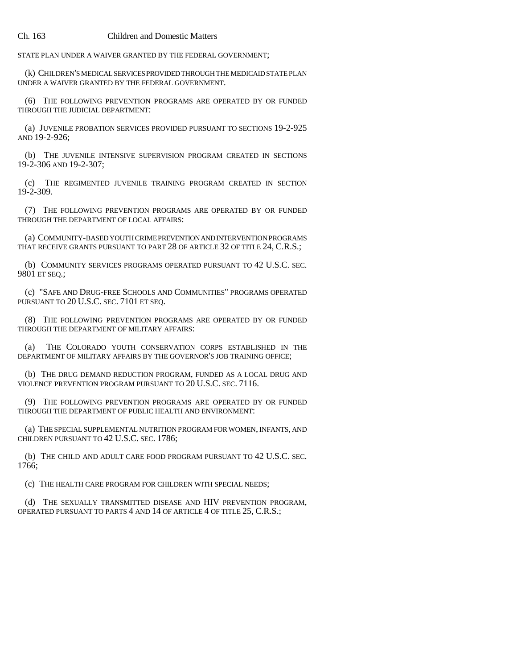## Ch. 163 Children and Domestic Matters

STATE PLAN UNDER A WAIVER GRANTED BY THE FEDERAL GOVERNMENT;

(k) CHILDREN'S MEDICAL SERVICES PROVIDED THROUGH THE MEDICAID STATE PLAN UNDER A WAIVER GRANTED BY THE FEDERAL GOVERNMENT.

(6) THE FOLLOWING PREVENTION PROGRAMS ARE OPERATED BY OR FUNDED THROUGH THE JUDICIAL DEPARTMENT:

(a) JUVENILE PROBATION SERVICES PROVIDED PURSUANT TO SECTIONS 19-2-925 AND 19-2-926;

(b) THE JUVENILE INTENSIVE SUPERVISION PROGRAM CREATED IN SECTIONS 19-2-306 AND 19-2-307;

(c) THE REGIMENTED JUVENILE TRAINING PROGRAM CREATED IN SECTION 19-2-309.

(7) THE FOLLOWING PREVENTION PROGRAMS ARE OPERATED BY OR FUNDED THROUGH THE DEPARTMENT OF LOCAL AFFAIRS:

(a) COMMUNITY-BASED YOUTH CRIME PREVENTION AND INTERVENTION PROGRAMS THAT RECEIVE GRANTS PURSUANT TO PART 28 OF ARTICLE 32 OF TITLE 24, C.R.S.;

(b) COMMUNITY SERVICES PROGRAMS OPERATED PURSUANT TO 42 U.S.C. SEC. 9801 ET SEQ.;

(c) "SAFE AND DRUG-FREE SCHOOLS AND COMMUNITIES" PROGRAMS OPERATED PURSUANT TO 20 U.S.C. SEC. 7101 ET SEQ.

(8) THE FOLLOWING PREVENTION PROGRAMS ARE OPERATED BY OR FUNDED THROUGH THE DEPARTMENT OF MILITARY AFFAIRS:

(a) THE COLORADO YOUTH CONSERVATION CORPS ESTABLISHED IN THE DEPARTMENT OF MILITARY AFFAIRS BY THE GOVERNOR'S JOB TRAINING OFFICE;

(b) THE DRUG DEMAND REDUCTION PROGRAM, FUNDED AS A LOCAL DRUG AND VIOLENCE PREVENTION PROGRAM PURSUANT TO 20 U.S.C. SEC. 7116.

(9) THE FOLLOWING PREVENTION PROGRAMS ARE OPERATED BY OR FUNDED THROUGH THE DEPARTMENT OF PUBLIC HEALTH AND ENVIRONMENT:

(a) THE SPECIAL SUPPLEMENTAL NUTRITION PROGRAM FOR WOMEN, INFANTS, AND CHILDREN PURSUANT TO 42 U.S.C. SEC. 1786;

(b) THE CHILD AND ADULT CARE FOOD PROGRAM PURSUANT TO 42 U.S.C. SEC. 1766;

(c) THE HEALTH CARE PROGRAM FOR CHILDREN WITH SPECIAL NEEDS;

(d) THE SEXUALLY TRANSMITTED DISEASE AND HIV PREVENTION PROGRAM, OPERATED PURSUANT TO PARTS 4 AND 14 OF ARTICLE 4 OF TITLE 25, C.R.S.;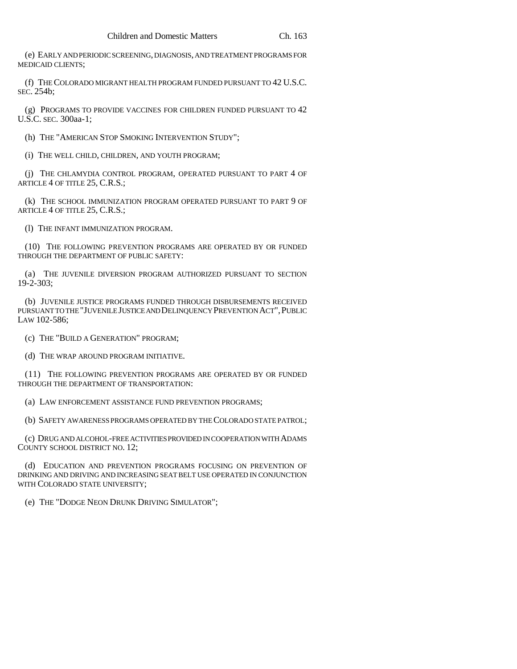(e) EARLY AND PERIODIC SCREENING, DIAGNOSIS, AND TREATMENT PROGRAMS FOR MEDICAID CLIENTS;

(f) THE COLORADO MIGRANT HEALTH PROGRAM FUNDED PURSUANT TO 42 U.S.C. SEC. 254b;

(g) PROGRAMS TO PROVIDE VACCINES FOR CHILDREN FUNDED PURSUANT TO 42 U.S.C. SEC. 300aa-1;

(h) THE "AMERICAN STOP SMOKING INTERVENTION STUDY";

(i) THE WELL CHILD, CHILDREN, AND YOUTH PROGRAM;

(j) THE CHLAMYDIA CONTROL PROGRAM, OPERATED PURSUANT TO PART 4 OF ARTICLE 4 OF TITLE 25, C.R.S.;

(k) THE SCHOOL IMMUNIZATION PROGRAM OPERATED PURSUANT TO PART 9 OF ARTICLE 4 OF TITLE 25, C.R.S.;

(l) THE INFANT IMMUNIZATION PROGRAM.

(10) THE FOLLOWING PREVENTION PROGRAMS ARE OPERATED BY OR FUNDED THROUGH THE DEPARTMENT OF PUBLIC SAFETY:

(a) THE JUVENILE DIVERSION PROGRAM AUTHORIZED PURSUANT TO SECTION 19-2-303;

(b) JUVENILE JUSTICE PROGRAMS FUNDED THROUGH DISBURSEMENTS RECEIVED PURSUANT TO THE "JUVENILE JUSTICE AND DELINQUENCY PREVENTION ACT", PUBLIC LAW 102-586;

(c) THE "BUILD A GENERATION" PROGRAM;

(d) THE WRAP AROUND PROGRAM INITIATIVE.

(11) THE FOLLOWING PREVENTION PROGRAMS ARE OPERATED BY OR FUNDED THROUGH THE DEPARTMENT OF TRANSPORTATION:

(a) LAW ENFORCEMENT ASSISTANCE FUND PREVENTION PROGRAMS;

(b) SAFETY AWARENESS PROGRAMS OPERATED BY THE COLORADO STATE PATROL;

(c) DRUG AND ALCOHOL-FREE ACTIVITIES PROVIDED IN COOPERATION WITH ADAMS COUNTY SCHOOL DISTRICT NO. 12;

(d) EDUCATION AND PREVENTION PROGRAMS FOCUSING ON PREVENTION OF DRINKING AND DRIVING AND INCREASING SEAT BELT USE OPERATED IN CONJUNCTION WITH COLORADO STATE UNIVERSITY;

(e) THE "DODGE NEON DRUNK DRIVING SIMULATOR";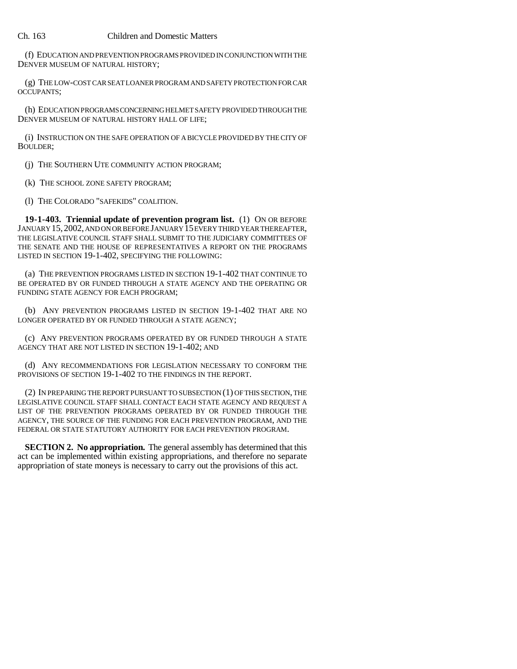(f) EDUCATION AND PREVENTION PROGRAMS PROVIDED IN CONJUNCTION WITH THE DENVER MUSEUM OF NATURAL HISTORY;

(g) THE LOW-COST CAR SEAT LOANER PROGRAM AND SAFETY PROTECTION FOR CAR OCCUPANTS;

(h) EDUCATION PROGRAMS CONCERNING HELMET SAFETY PROVIDED THROUGH THE DENVER MUSEUM OF NATURAL HISTORY HALL OF LIFE;

(i) INSTRUCTION ON THE SAFE OPERATION OF A BICYCLE PROVIDED BY THE CITY OF BOULDER;

(j) THE SOUTHERN UTE COMMUNITY ACTION PROGRAM;

(k) THE SCHOOL ZONE SAFETY PROGRAM;

(l) THE COLORADO "SAFEKIDS" COALITION.

**19-1-403. Triennial update of prevention program list.** (1) ON OR BEFORE JANUARY 15,2002, AND ON OR BEFORE JANUARY 15 EVERY THIRD YEAR THEREAFTER, THE LEGISLATIVE COUNCIL STAFF SHALL SUBMIT TO THE JUDICIARY COMMITTEES OF THE SENATE AND THE HOUSE OF REPRESENTATIVES A REPORT ON THE PROGRAMS LISTED IN SECTION 19-1-402, SPECIFYING THE FOLLOWING:

(a) THE PREVENTION PROGRAMS LISTED IN SECTION 19-1-402 THAT CONTINUE TO BE OPERATED BY OR FUNDED THROUGH A STATE AGENCY AND THE OPERATING OR FUNDING STATE AGENCY FOR EACH PROGRAM;

(b) ANY PREVENTION PROGRAMS LISTED IN SECTION 19-1-402 THAT ARE NO LONGER OPERATED BY OR FUNDED THROUGH A STATE AGENCY;

(c) ANY PREVENTION PROGRAMS OPERATED BY OR FUNDED THROUGH A STATE AGENCY THAT ARE NOT LISTED IN SECTION 19-1-402; AND

(d) ANY RECOMMENDATIONS FOR LEGISLATION NECESSARY TO CONFORM THE PROVISIONS OF SECTION 19-1-402 TO THE FINDINGS IN THE REPORT.

(2) IN PREPARING THE REPORT PURSUANT TO SUBSECTION (1) OF THIS SECTION, THE LEGISLATIVE COUNCIL STAFF SHALL CONTACT EACH STATE AGENCY AND REQUEST A LIST OF THE PREVENTION PROGRAMS OPERATED BY OR FUNDED THROUGH THE AGENCY, THE SOURCE OF THE FUNDING FOR EACH PREVENTION PROGRAM, AND THE FEDERAL OR STATE STATUTORY AUTHORITY FOR EACH PREVENTION PROGRAM.

**SECTION 2. No appropriation.** The general assembly has determined that this act can be implemented within existing appropriations, and therefore no separate appropriation of state moneys is necessary to carry out the provisions of this act.